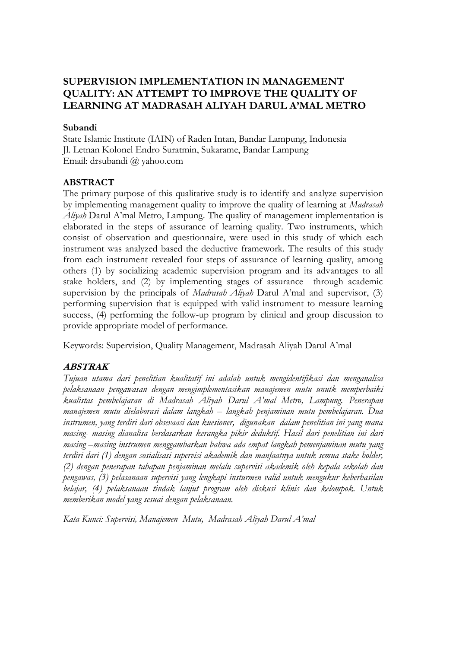# **SUPERVISION IMPLEMENTATION IN MANAGEMENT QUALITY: AN ATTEMPT TO IMPROVE THE QUALITY OF LEARNING AT MADRASAH ALIYAH DARUL A'MAL METRO**

#### **Subandi**

State Islamic Institute (IAIN) of Raden Intan, Bandar Lampung, Indonesia Jl. Letnan Kolonel Endro Suratmin, Sukarame, Bandar Lampung Email: drsubandi @ yahoo.com

## **ABSTRACT**

The primary purpose of this qualitative study is to identify and analyze supervision by implementing management quality to improve the quality of learning at *Madrasah Aliyah* Darul A'mal Metro, Lampung. The quality of management implementation is elaborated in the steps of assurance of learning quality. Two instruments, which consist of observation and questionnaire, were used in this study of which each instrument was analyzed based the deductive framework. The results of this study from each instrument revealed four steps of assurance of learning quality, among others (1) by socializing academic supervision program and its advantages to all stake holders, and (2) by implementing stages of assurance through academic supervision by the principals of *Madrasah Aliyah* Darul A'mal and supervisor, (3) performing supervision that is equipped with valid instrument to measure learning success, (4) performing the follow-up program by clinical and group discussion to provide appropriate model of performance.

Keywords: Supervision, Quality Management, Madrasah Aliyah Darul A'mal

## **ABSTRAK**

*Tujuan utama dari penelitian kualitatif ini adalah untuk mengidentifikasi dan menganalisa pelaksanaan pengawasan dengan mengimplementasikan manajemen mutu unutk memperbaiki kualistas pembelajaran di Madrasah Aliyah Darul A'mal Metro, Lampung. Penerapan manajemen mutu dielaborasi dalam langkah – langkah penjaminan mutu pembelajaran. Dua instrumen, yang terdiri dari obsevaasi dan kuesioner, digunakan dalam penelitian ini yang mana masing- masing dianalisa berdasarkan kerangka pikir deduktif. Hasil dari penelitian ini dari masing –masing instrumen menggambarkan bahwa ada empat langkah pemenjaminan mutu yang terdiri dari (1) dengan sosialisasi supervisi akademik dan manfaatnya untuk semua stake holder, (2) dengan penerapan tahapan penjaminan melalu supervisi akademik oleh kepala sekolah dan pengawas, (3) pelasanaan supervisi yang lengkapi insturmen valid untuk mengukur keberhasilan belajar, (4) pelaksanaan tindak lanjut program oleh diskusi klinis dan kelompok. Untuk memberikan model yang sesuai dengan pelaksanaan.*

*Kata Kunci: Supervisi, Manajemen Mutu, Madrasah Aliyah Darul A'mal*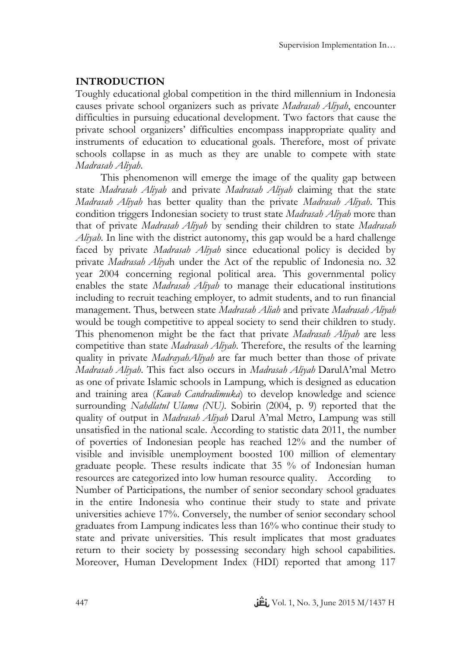# **INTRODUCTION**

Toughly educational global competition in the third millennium in Indonesia causes private school organizers such as private *Madrasah Aliyah*, encounter difficulties in pursuing educational development. Two factors that cause the private school organizers' difficulties encompass inappropriate quality and instruments of education to educational goals. Therefore, most of private schools collapse in as much as they are unable to compete with state *Madrasah Aliyah*.

This phenomenon will emerge the image of the quality gap between state *Madrasah Aliyah* and private *Madrasah Aliyah* claiming that the state *Madrasah Aliyah* has better quality than the private *Madrasah Aliyah*. This condition triggers Indonesian society to trust state *Madrasah Aliyah* more than that of private *Madrasah Aliyah* by sending their children to state *Madrasah Aliyah*. In line with the district autonomy, this gap would be a hard challenge faced by private *Madrasah Aliyah* since educational policy is decided by private *Madrasah Aliya*h under the Act of the republic of Indonesia no. 32 year 2004 concerning regional political area. This governmental policy enables the state *Madrasah Aliyah* to manage their educational institutions including to recruit teaching employer, to admit students, and to run financial management. Thus, between state *Madrasah Aliah* and private *Madrasah Aliyah* would be tough competitive to appeal society to send their children to study. This phenomenon might be the fact that private *Madrasah Aliyah* are less competitive than state *Madrasah Aliyah*. Therefore, the results of the learning quality in private *MadrayahAliyah* are far much better than those of private *Madrasah Aliyah*. This fact also occurs in *Madrasah Aliyah* DarulA'mal Metro as one of private Islamic schools in Lampung, which is designed as education and training area (*Kawah Candradimuka*) to develop knowledge and science surrounding *Nahdlatul Ulama (NU)*. Sobirin (2004, p. 9) reported that the quality of output in *Madrasah Aliyah* Darul A'mal Metro, Lampung was still unsatisfied in the national scale. According to statistic data 2011, the number of poverties of Indonesian people has reached 12% and the number of visible and invisible unemployment boosted 100 million of elementary graduate people. These results indicate that 35 % of Indonesian human resources are categorized into low human resource quality. According to Number of Participations, the number of senior secondary school graduates in the entire Indonesia who continue their study to state and private universities achieve 17%. Conversely, the number of senior secondary school graduates from Lampung indicates less than 16% who continue their study to state and private universities. This result implicates that most graduates return to their society by possessing secondary high school capabilities. Moreover, Human Development Index (HDI) reported that among 117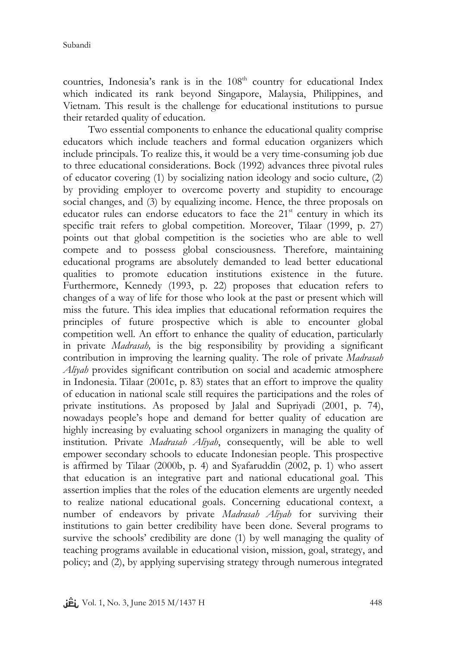countries, Indonesia's rank is in the  $108<sup>th</sup>$  country for educational Index which indicated its rank beyond Singapore, Malaysia, Philippines, and Vietnam. This result is the challenge for educational institutions to pursue their retarded quality of education.

Two essential components to enhance the educational quality comprise educators which include teachers and formal education organizers which include principals. To realize this, it would be a very time-consuming job due to three educational considerations. Bock (1992) advances three pivotal rules of educator covering (1) by socializing nation ideology and socio culture, (2) by providing employer to overcome poverty and stupidity to encourage social changes, and (3) by equalizing income. Hence, the three proposals on educator rules can endorse educators to face the  $21<sup>st</sup>$  century in which its specific trait refers to global competition. Moreover, Tilaar (1999, p. 27) points out that global competition is the societies who are able to well compete and to possess global consciousness. Therefore, maintaining educational programs are absolutely demanded to lead better educational qualities to promote education institutions existence in the future. Furthermore, Kennedy (1993, p. 22) proposes that education refers to changes of a way of life for those who look at the past or present which will miss the future. This idea implies that educational reformation requires the principles of future prospective which is able to encounter global competition well. An effort to enhance the quality of education, particularly in private *Madrasah,* is the big responsibility by providing a significant contribution in improving the learning quality. The role of private *Madrasah Aliyah* provides significant contribution on social and academic atmosphere in Indonesia. Tilaar (2001c, p. 83) states that an effort to improve the quality of education in national scale still requires the participations and the roles of private institutions. As proposed by Jalal and Supriyadi (2001, p. 74), nowadays people's hope and demand for better quality of education are highly increasing by evaluating school organizers in managing the quality of institution. Private *Madrasah Aliyah*, consequently, will be able to well empower secondary schools to educate Indonesian people. This prospective is affirmed by Tilaar (2000b, p. 4) and Syafaruddin (2002, p. 1) who assert that education is an integrative part and national educational goal. This assertion implies that the roles of the education elements are urgently needed to realize national educational goals. Concerning educational context, a number of endeavors by private *Madrasah Aliyah* for surviving their institutions to gain better credibility have been done. Several programs to survive the schools' credibility are done (1) by well managing the quality of teaching programs available in educational vision, mission, goal, strategy, and policy; and (2), by applying supervising strategy through numerous integrated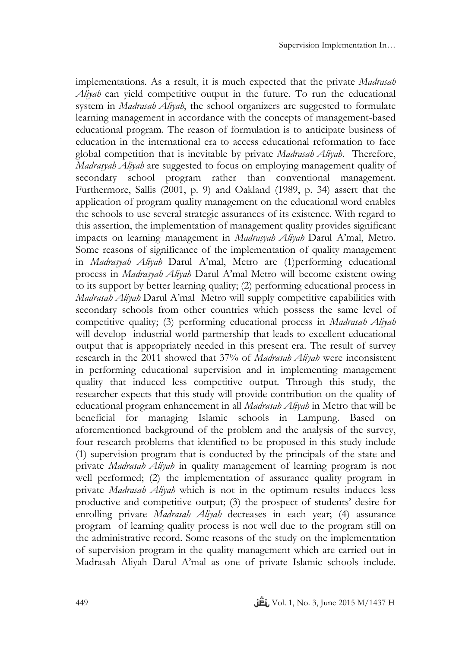implementations. As a result, it is much expected that the private *Madrasah Aliyah* can yield competitive output in the future. To run the educational system in *Madrasah Aliyah*, the school organizers are suggested to formulate learning management in accordance with the concepts of management-based educational program. The reason of formulation is to anticipate business of education in the international era to access educational reformation to face global competition that is inevitable by private *Madrasah Aliyah*. Therefore, *Madrasyah Aliyah* are suggested to focus on employing management quality of secondary school program rather than conventional management. Furthermore, Sallis (2001, p. 9) and Oakland (1989, p. 34) assert that the application of program quality management on the educational word enables the schools to use several strategic assurances of its existence. With regard to this assertion, the implementation of management quality provides significant impacts on learning management in *Madrasyah Aliyah* Darul A'mal, Metro. Some reasons of significance of the implementation of quality management in *Madrasyah Aliyah* Darul A'mal, Metro are (1)performing educational process in *Madrasyah Aliyah* Darul A'mal Metro will become existent owing to its support by better learning quality; (2) performing educational process in *Madrasah Aliyah* Darul A'mal Metro will supply competitive capabilities with secondary schools from other countries which possess the same level of competitive quality; (3) performing educational process in *Madrasah Aliyah* will develop industrial world partnership that leads to excellent educational output that is appropriately needed in this present era. The result of survey research in the 2011 showed that 37% of *Madrasah Aliyah* were inconsistent in performing educational supervision and in implementing management quality that induced less competitive output. Through this study, the researcher expects that this study will provide contribution on the quality of educational program enhancement in all *Madrasah Aliyah* in Metro that will be beneficial for managing Islamic schools in Lampung. Based on aforementioned background of the problem and the analysis of the survey, four research problems that identified to be proposed in this study include (1) supervision program that is conducted by the principals of the state and private *Madrasah Aliyah* in quality management of learning program is not well performed; (2) the implementation of assurance quality program in private *Madrasah Aliyah* which is not in the optimum results induces less productive and competitive output; (3) the prospect of students' desire for enrolling private *Madrasah Aliyah* decreases in each year; (4) assurance program of learning quality process is not well due to the program still on the administrative record. Some reasons of the study on the implementation of supervision program in the quality management which are carried out in Madrasah Aliyah Darul A'mal as one of private Islamic schools include.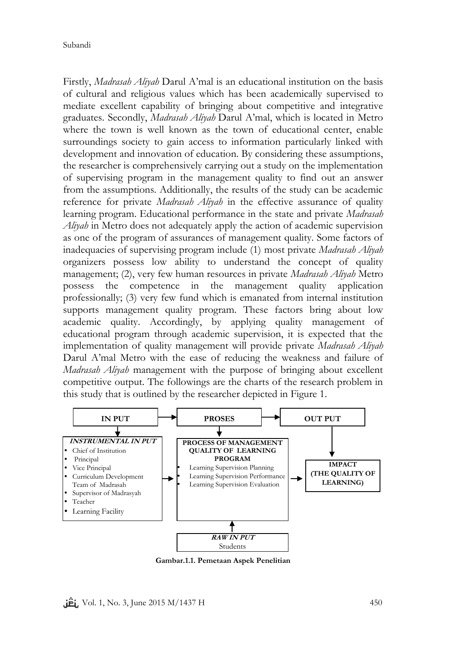Subandi

Firstly, *Madrasah Aliyah* Darul A'mal is an educational institution on the basis of cultural and religious values which has been academically supervised to mediate excellent capability of bringing about competitive and integrative graduates. Secondly, *Madrasah Aliyah* Darul A'mal, which is located in Metro where the town is well known as the town of educational center, enable surroundings society to gain access to information particularly linked with development and innovation of education. By considering these assumptions, the researcher is comprehensively carrying out a study on the implementation of supervising program in the management quality to find out an answer from the assumptions. Additionally, the results of the study can be academic reference for private *Madrasah Aliyah* in the effective assurance of quality learning program. Educational performance in the state and private *Madrasah Aliyah* in Metro does not adequately apply the action of academic supervision as one of the program of assurances of management quality. Some factors of inadequacies of supervising program include (1) most private *Madrasah Aliyah* organizers possess low ability to understand the concept of quality management; (2), very few human resources in private *Madrasah Aliyah* Metro possess the competence in the management quality application professionally; (3) very few fund which is emanated from internal institution supports management quality program. These factors bring about low academic quality. Accordingly, by applying quality management of educational program through academic supervision, it is expected that the implementation of quality management will provide private *Madrasah Aliyah* Darul A'mal Metro with the ease of reducing the weakness and failure of *Madrasah Aliyah* management with the purpose of bringing about excellent competitive output. The followings are the charts of the research problem in this study that is outlined by the researcher depicted in Figure 1.



**Gambar.1.1. Pemetaan Aspek Penelitian**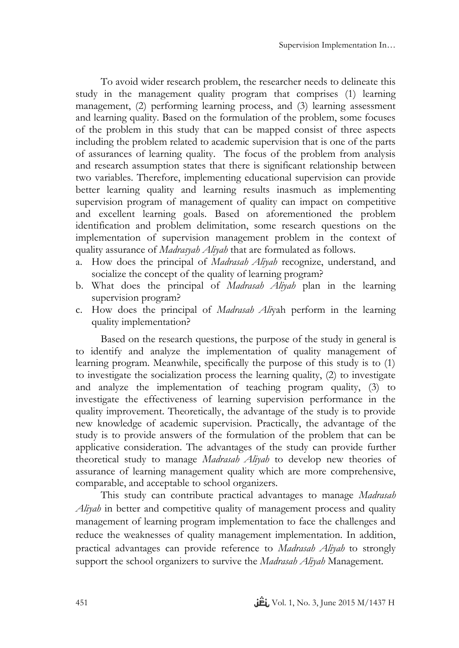To avoid wider research problem, the researcher needs to delineate this study in the management quality program that comprises (1) learning management, (2) performing learning process, and (3) learning assessment and learning quality. Based on the formulation of the problem, some focuses of the problem in this study that can be mapped consist of three aspects including the problem related to academic supervision that is one of the parts of assurances of learning quality. The focus of the problem from analysis and research assumption states that there is significant relationship between two variables. Therefore, implementing educational supervision can provide better learning quality and learning results inasmuch as implementing supervision program of management of quality can impact on competitive and excellent learning goals. Based on aforementioned the problem identification and problem delimitation, some research questions on the implementation of supervision management problem in the context of quality assurance of *Madrasyah Aliyah* that are formulated as follows.

- a. How does the principal of *Madrasah Aliyah* recognize, understand, and socialize the concept of the quality of learning program?
- b. What does the principal of *Madrasah Aliyah* plan in the learning supervision program?
- c. How does the principal of *Madrasah Ali*yah perform in the learning quality implementation?

Based on the research questions, the purpose of the study in general is to identify and analyze the implementation of quality management of learning program. Meanwhile, specifically the purpose of this study is to (1) to investigate the socialization process the learning quality, (2) to investigate and analyze the implementation of teaching program quality, (3) to investigate the effectiveness of learning supervision performance in the quality improvement. Theoretically, the advantage of the study is to provide new knowledge of academic supervision. Practically, the advantage of the study is to provide answers of the formulation of the problem that can be applicative consideration. The advantages of the study can provide further theoretical study to manage *Madrasah Aliyah* to develop new theories of assurance of learning management quality which are more comprehensive, comparable, and acceptable to school organizers.

This study can contribute practical advantages to manage *Madrasah Aliyah* in better and competitive quality of management process and quality management of learning program implementation to face the challenges and reduce the weaknesses of quality management implementation. In addition, practical advantages can provide reference to *Madrasah Aliyah* to strongly support the school organizers to survive the *Madrasah Aliyah* Management.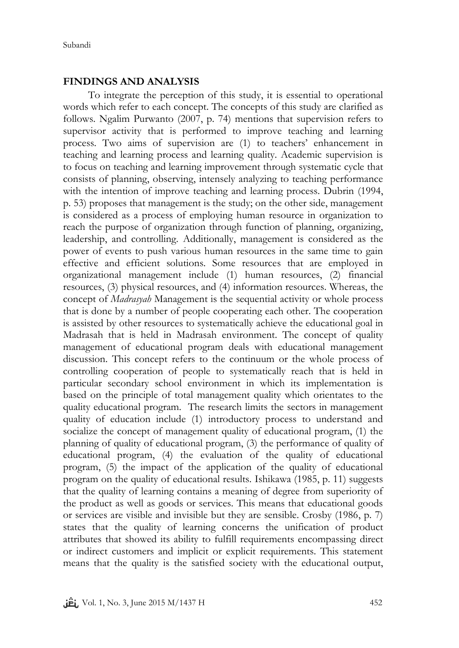### **FINDINGS AND ANALYSIS**

To integrate the perception of this study, it is essential to operational words which refer to each concept. The concepts of this study are clarified as follows. Ngalim Purwanto (2007, p. 74) mentions that supervision refers to supervisor activity that is performed to improve teaching and learning process. Two aims of supervision are (1) to teachers' enhancement in teaching and learning process and learning quality. Academic supervision is to focus on teaching and learning improvement through systematic cycle that consists of planning, observing, intensely analyzing to teaching performance with the intention of improve teaching and learning process. Dubrin (1994, p. 53) proposes that management is the study; on the other side, management is considered as a process of employing human resource in organization to reach the purpose of organization through function of planning, organizing, leadership, and controlling. Additionally, management is considered as the power of events to push various human resources in the same time to gain effective and efficient solutions. Some resources that are employed in organizational management include (1) human resources, (2) financial resources, (3) physical resources, and (4) information resources. Whereas, the concept of *Madrasyah* Management is the sequential activity or whole process that is done by a number of people cooperating each other. The cooperation is assisted by other resources to systematically achieve the educational goal in Madrasah that is held in Madrasah environment. The concept of quality management of educational program deals with educational management discussion. This concept refers to the continuum or the whole process of controlling cooperation of people to systematically reach that is held in particular secondary school environment in which its implementation is based on the principle of total management quality which orientates to the quality educational program. The research limits the sectors in management quality of education include (1) introductory process to understand and socialize the concept of management quality of educational program, (1) the planning of quality of educational program, (3) the performance of quality of educational program, (4) the evaluation of the quality of educational program, (5) the impact of the application of the quality of educational program on the quality of educational results. Ishikawa (1985, p. 11) suggests that the quality of learning contains a meaning of degree from superiority of the product as well as goods or services. This means that educational goods or services are visible and invisible but they are sensible. Crosby (1986, p. 7) states that the quality of learning concerns the unification of product attributes that showed its ability to fulfill requirements encompassing direct or indirect customers and implicit or explicit requirements. This statement means that the quality is the satisfied society with the educational output,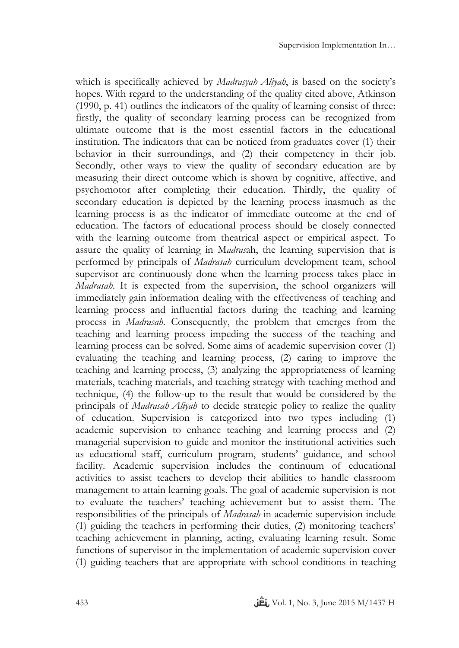which is specifically achieved by *Madrasyah Aliyah*, is based on the society's hopes. With regard to the understanding of the quality cited above, Atkinson (1990, p. 41) outlines the indicators of the quality of learning consist of three: firstly, the quality of secondary learning process can be recognized from ultimate outcome that is the most essential factors in the educational institution. The indicators that can be noticed from graduates cover (1) their behavior in their surroundings, and (2) their competency in their job. Secondly, other ways to view the quality of secondary education are by measuring their direct outcome which is shown by cognitive, affective, and psychomotor after completing their education. Thirdly, the quality of secondary education is depicted by the learning process inasmuch as the learning process is as the indicator of immediate outcome at the end of education. The factors of educational process should be closely connected with the learning outcome from theatrical aspect or empirical aspect. To assure the quality of learning in M*adras*ah, the learning supervision that is performed by principals of *Madrasah* curriculum development team, school supervisor are continuously done when the learning process takes place in *Madrasah*. It is expected from the supervision, the school organizers will immediately gain information dealing with the effectiveness of teaching and learning process and influential factors during the teaching and learning process in *Madrasah*. Consequently, the problem that emerges from the teaching and learning process impeding the success of the teaching and learning process can be solved. Some aims of academic supervision cover (1) evaluating the teaching and learning process, (2) caring to improve the teaching and learning process, (3) analyzing the appropriateness of learning materials, teaching materials, and teaching strategy with teaching method and technique, (4) the follow-up to the result that would be considered by the principals of *Madrasah Aliyah* to decide strategic policy to realize the quality of education. Supervision is categorized into two types including (1) academic supervision to enhance teaching and learning process and (2) managerial supervision to guide and monitor the institutional activities such as educational staff, curriculum program, students' guidance, and school facility. Academic supervision includes the continuum of educational activities to assist teachers to develop their abilities to handle classroom management to attain learning goals. The goal of academic supervision is not to evaluate the teachers' teaching achievement but to assist them. The responsibilities of the principals of *Madrasah* in academic supervision include (1) guiding the teachers in performing their duties, (2) monitoring teachers' teaching achievement in planning, acting, evaluating learning result. Some functions of supervisor in the implementation of academic supervision cover (1) guiding teachers that are appropriate with school conditions in teaching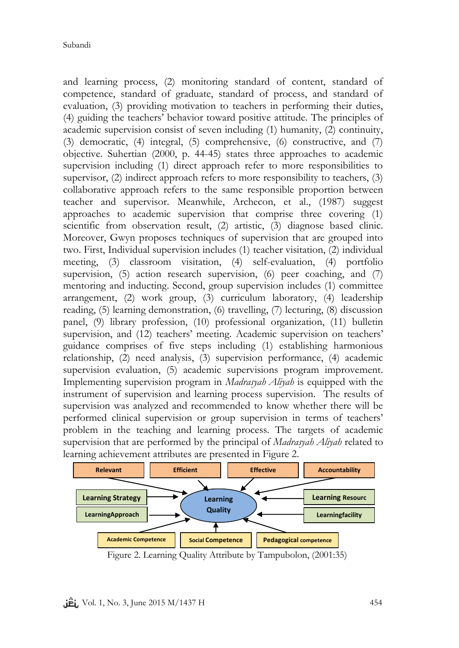Subandi

and learning process, (2) monitoring standard of content, standard of competence, standard of graduate, standard of process, and standard of evaluation, (3) providing motivation to teachers in performing their duties, (4) guiding the teachers' behavior toward positive attitude. The principles of academic supervision consist of seven including (1) humanity, (2) continuity, (3) democratic, (4) integral, (5) comprehensive, (6) constructive, and (7) objective. Suhertian (2000, p. 44-45) states three approaches to academic supervision including (1) direct approach refer to more responsibilities to supervisor, (2) indirect approach refers to more responsibility to teachers, (3) collaborative approach refers to the same responsible proportion between teacher and supervisor. Meanwhile, Archecon, et al., (1987) suggest approaches to academic supervision that comprise three covering (1) scientific from observation result, (2) artistic, (3) diagnose based clinic. Moreover, Gwyn proposes techniques of supervision that are grouped into two. First, Individual supervision includes (1) teacher visitation, (2) individual meeting, (3) classroom visitation, (4) self-evaluation, (4) portfolio supervision, (5) action research supervision, (6) peer coaching, and (7) mentoring and inducting. Second, group supervision includes (1) committee arrangement, (2) work group, (3) curriculum laboratory, (4) leadership reading, (5) learning demonstration, (6) travelling, (7) lecturing, (8) discussion panel, (9) library profession, (10) professional organization, (11) bulletin supervision, and (12) teachers' meeting. Academic supervision on teachers' guidance comprises of five steps including (1) establishing harmonious relationship, (2) need analysis, (3) supervision performance, (4) academic supervision evaluation, (5) academic supervisions program improvement. Implementing supervision program in *Madrasyah Aliyah* is equipped with the instrument of supervision and learning process supervision. The results of supervision was analyzed and recommended to know whether there will be performed clinical supervision or group supervision in terms of teachers' problem in the teaching and learning process. The targets of academic supervision that are performed by the principal of *Madrasyah Aliyah* related to learning achievement attributes are presented in Figure 2.



Figure 2. Learning Quality Attribute by Tampubolon, (2001:35)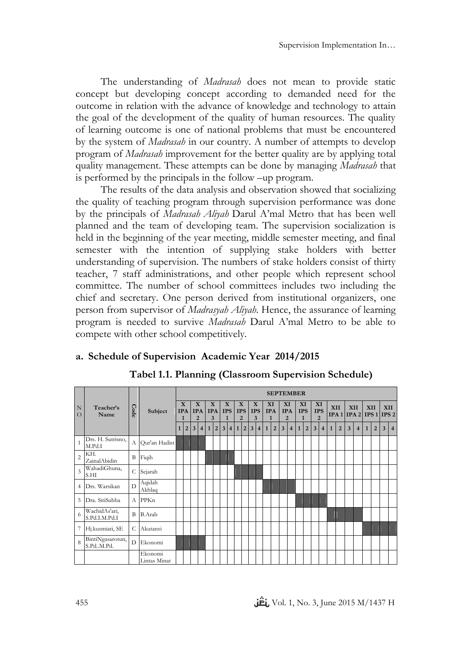The understanding of *Madrasah* does not mean to provide static concept but developing concept according to demanded need for the outcome in relation with the advance of knowledge and technology to attain the goal of the development of the quality of human resources. The quality of learning outcome is one of national problems that must be encountered by the system of *Madrasah* in our country. A number of attempts to develop program of *Madrasah* improvement for the better quality are by applying total quality management. These attempts can be done by managing *Madrasah* that is performed by the principals in the follow –up program.

The results of the data analysis and observation showed that socializing the quality of teaching program through supervision performance was done by the principals of *Madrasah Aliyah* Darul A'mal Metro that has been well planned and the team of developing team. The supervision socialization is held in the beginning of the year meeting, middle semester meeting, and final semester with the intention of supplying stake holders with better understanding of supervision. The numbers of stake holders consist of thirty teacher, 7 staff administrations, and other people which represent school committee. The number of school committees includes two including the chief and secretary. One person derived from institutional organizers, one person from supervisor of *Madrasyah Aliyah*. Hence, the assurance of learning program is needed to survive *Madrasah* Darul A'mal Metro to be able to compete with other school competitively.

## **a. Schedule of Supervision Academic Year 2014/2015**

|                         |                                 |              |                         |   |                          |                         |                                              |              |                                |  |                                 |  |                                              |                |                      |              |                       | <b>SEPTEMBER</b>        |                                    |                                  |                |                                    |                |            |                |                           |                |     |                |                         |                |
|-------------------------|---------------------------------|--------------|-------------------------|---|--------------------------|-------------------------|----------------------------------------------|--------------|--------------------------------|--|---------------------------------|--|----------------------------------------------|----------------|----------------------|--------------|-----------------------|-------------------------|------------------------------------|----------------------------------|----------------|------------------------------------|----------------|------------|----------------|---------------------------|----------------|-----|----------------|-------------------------|----------------|
| $\mathbf N$<br>$\Omega$ | Teacher's<br>Name               | Code         | Subject                 |   | $\mathbf{x}$<br>IPA<br>1 |                         | $\mathbf{x}$<br><b>IPA</b><br>$\overline{2}$ |              | $\mathbf X$<br><b>IPA</b><br>3 |  | $\mathbf{x}$<br><b>IPS</b><br>1 |  | $\mathbf{x}$<br><b>IPS</b><br>$\overline{2}$ |                | X<br><b>IPS</b><br>3 |              | XI<br><b>IPA</b><br>1 |                         | XI<br><b>IPA</b><br>$\overline{2}$ | XI<br><b>IPS</b><br>$\mathbf{1}$ |                | XI<br><b>IPS</b><br>$\overline{2}$ |                | <b>XII</b> |                | XII<br>$IPA1$ IPA 2 IPS 1 |                | XII |                |                         | XII<br>IPS 2   |
|                         |                                 |              |                         | 1 | $\overline{2}$           | $\overline{\mathbf{3}}$ | $\overline{4}$                               | $\mathbf{1}$ | 2 <sup>1</sup>                 |  | 3 4 1                           |  | 2                                            | 3 <sup>1</sup> | $\overline{4}$       | $\mathbf{1}$ | $\overline{2}$        | $\overline{\mathbf{3}}$ | $\overline{4}$                     | $\mathbf{1}$                     | $\overline{2}$ | $\overline{\mathbf{3}}$            | $\overline{4}$ | 1          | $\overline{2}$ | 3                         | $\overline{4}$ | 1   | $\overline{2}$ | $\overline{\mathbf{3}}$ | $\overline{4}$ |
| $\mathbf{1}$            | Drs. H. Sutrisno,<br>M.Pd.I     | А            | Qur'an Hadist           |   |                          |                         |                                              |              |                                |  |                                 |  |                                              |                |                      |              |                       |                         |                                    |                                  |                |                                    |                |            |                |                           |                |     |                |                         |                |
| $\overline{c}$          | KH.<br>ZainalAbidin             | B            | Fiqih                   |   |                          |                         |                                              |              |                                |  |                                 |  |                                              |                |                      |              |                       |                         |                                    |                                  |                |                                    |                |            |                |                           |                |     |                |                         |                |
| $\overline{\mathbf{3}}$ | WahadiGhuna,<br>S.HI            | C            | Sejarah                 |   |                          |                         |                                              |              |                                |  |                                 |  |                                              |                |                      |              |                       |                         |                                    |                                  |                |                                    |                |            |                |                           |                |     |                |                         |                |
| 4                       | Drs. Warsikan                   | $\mathbf{D}$ | Aqidah<br>Akhlaq        |   |                          |                         |                                              |              |                                |  |                                 |  |                                              |                |                      |              |                       |                         |                                    |                                  |                |                                    |                |            |                |                           |                |     |                |                         |                |
| 5                       | Dra. SitiSubha                  | A            | PPKn                    |   |                          |                         |                                              |              |                                |  |                                 |  |                                              |                |                      |              |                       |                         |                                    |                                  |                |                                    |                |            |                |                           |                |     |                |                         |                |
| 6                       | WachidAs'ari,<br>S.Pd.I.M.Pd.I  | B            | B.Arab                  |   |                          |                         |                                              |              |                                |  |                                 |  |                                              |                |                      |              |                       |                         |                                    |                                  |                |                                    |                |            |                |                           |                |     |                |                         |                |
| 7                       | Hj.kusmiati, SE                 | C            | Akutansi                |   |                          |                         |                                              |              |                                |  |                                 |  |                                              |                |                      |              |                       |                         |                                    |                                  |                |                                    |                |            |                |                           |                |     |                |                         |                |
| 8                       | BintiNgasarotun,<br>S.Pd.,M.Pd. | D            | Ekonomi                 |   |                          |                         |                                              |              |                                |  |                                 |  |                                              |                |                      |              |                       |                         |                                    |                                  |                |                                    |                |            |                |                           |                |     |                |                         |                |
|                         |                                 |              | Ekonomi<br>Lintas Minat |   |                          |                         |                                              |              |                                |  |                                 |  |                                              |                |                      |              |                       |                         |                                    |                                  |                |                                    |                |            |                |                           |                |     |                |                         |                |

### **Tabel 1.1. Planning (Classroom Supervision Schedule)**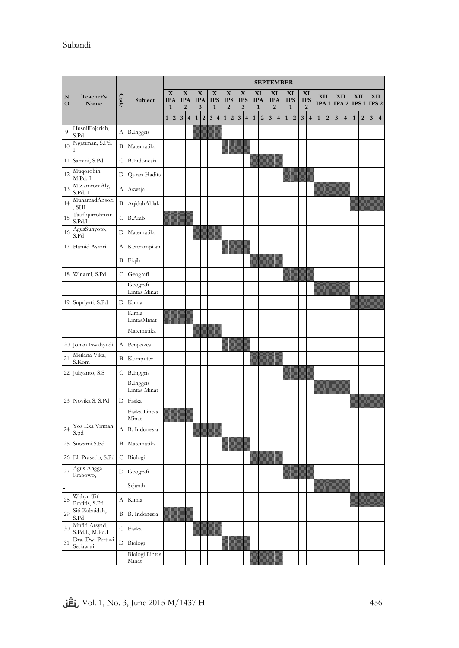|                |                                  |                |                                  |                |                            |                         |                              |             |            |   |                            |             |                 |             |                 |                     |                            | <b>SEPTEMBER</b> |                              |    |                            |    |                              |              |                |                         |                         |              |              |                         |                         |
|----------------|----------------------------------|----------------|----------------------------------|----------------|----------------------------|-------------------------|------------------------------|-------------|------------|---|----------------------------|-------------|-----------------|-------------|-----------------|---------------------|----------------------------|------------------|------------------------------|----|----------------------------|----|------------------------------|--------------|----------------|-------------------------|-------------------------|--------------|--------------|-------------------------|-------------------------|
| N              | Teacher's                        |                |                                  |                | $\mathbf X$                |                         | $\mathbf X$                  | $\mathbf X$ |            | X |                            | $\mathbf X$ |                 | $\mathbf X$ |                 | XI                  |                            |                  | XI                           | XI |                            | XI |                              |              | XII            | XII                     |                         |              | XII          |                         | XII                     |
| $\overline{O}$ | Name                             | Code           | Subject                          |                | <b>IPA</b><br>$\mathbf{1}$ |                         | <b>IPA</b><br>$\overline{2}$ | <b>IPA</b>  | 3          |   | <b>IPS</b><br>$\mathbf{1}$ |             | <b>IPS</b><br>2 |             | <b>IPS</b><br>3 |                     | <b>IPA</b><br>$\mathbf{1}$ |                  | <b>IPA</b><br>$\overline{2}$ |    | <b>IPS</b><br>$\mathbf{1}$ |    | <b>IPS</b><br>$\overline{2}$ |              |                | <b>IPA 1 IPA 2</b>      |                         |              | $IPS1$ IPS 2 |                         |                         |
|                |                                  |                |                                  | 1 <sup>1</sup> | $\overline{2}$             | $\overline{\mathbf{3}}$ | 4                            |             | $1\vert 2$ |   | 3 4                        |             | $1\vert 2$      | 3 4         |                 | $\ddot{\textbf{1}}$ | $\overline{a}$             |                  | 3 4                          |    | $1\vert 2$                 | 3  | $\overline{4}$               | $\mathbf{1}$ | $\overline{2}$ | $\overline{\mathbf{3}}$ | $\overline{\mathbf{4}}$ | $\mathbf{1}$ | $\mathbf 2$  | $\overline{\mathbf{3}}$ | $\overline{\mathbf{4}}$ |
| 9              | HusnilFajariah,<br>S.Pd          | А              | <b>B.Inggris</b>                 |                |                            |                         |                              |             |            |   |                            |             |                 |             |                 |                     |                            |                  |                              |    |                            |    |                              |              |                |                         |                         |              |              |                         |                         |
| 10             | Ngatiman, S.Pd.                  | B              | Matematika                       |                |                            |                         |                              |             |            |   |                            |             |                 |             |                 |                     |                            |                  |                              |    |                            |    |                              |              |                |                         |                         |              |              |                         |                         |
| 11             | Samini, S.Pd                     | C              | B.Indonesia                      |                |                            |                         |                              |             |            |   |                            |             |                 |             |                 |                     |                            |                  |                              |    |                            |    |                              |              |                |                         |                         |              |              |                         |                         |
| 12             | Muqorobin,<br>M.Pd. I            | D              | Quran Hadits                     |                |                            |                         |                              |             |            |   |                            |             |                 |             |                 |                     |                            |                  |                              |    |                            |    |                              |              |                |                         |                         |              |              |                         |                         |
| 13             | M.ZamroniAly,<br>S.Pd. I         | А              | Aswaja                           |                |                            |                         |                              |             |            |   |                            |             |                 |             |                 |                     |                            |                  |                              |    |                            |    |                              |              |                |                         |                         |              |              |                         |                         |
| 14             | MuhamadAnsori<br><b>SHI</b>      | B              | AqidahAhlak                      |                |                            |                         |                              |             |            |   |                            |             |                 |             |                 |                     |                            |                  |                              |    |                            |    |                              |              |                |                         |                         |              |              |                         |                         |
| 15             | Taufiqurrohman<br>S.Pd.I         | $\overline{C}$ | B.Arab                           |                |                            |                         |                              |             |            |   |                            |             |                 |             |                 |                     |                            |                  |                              |    |                            |    |                              |              |                |                         |                         |              |              |                         |                         |
| 16             | AgusSunyoto,<br>S.Pd             | D              | Matematika                       |                |                            |                         |                              |             |            |   |                            |             |                 |             |                 |                     |                            |                  |                              |    |                            |    |                              |              |                |                         |                         |              |              |                         |                         |
| 17             | Hamid Asrori                     | А              | Keterampilan                     |                |                            |                         |                              |             |            |   |                            |             |                 |             |                 |                     |                            |                  |                              |    |                            |    |                              |              |                |                         |                         |              |              |                         |                         |
|                |                                  | B              | Fiqih                            |                |                            |                         |                              |             |            |   |                            |             |                 |             |                 |                     |                            |                  |                              |    |                            |    |                              |              |                |                         |                         |              |              |                         |                         |
|                | 18 Winarni, S.Pd                 | С              | Geografi                         |                |                            |                         |                              |             |            |   |                            |             |                 |             |                 |                     |                            |                  |                              |    |                            |    |                              |              |                |                         |                         |              |              |                         |                         |
|                |                                  |                | Geografi<br>Lintas Minat         |                |                            |                         |                              |             |            |   |                            |             |                 |             |                 |                     |                            |                  |                              |    |                            |    |                              |              |                |                         |                         |              |              |                         |                         |
|                | 19 Supriyati, S.Pd               | $\mathbf D$    | Kimia                            |                |                            |                         |                              |             |            |   |                            |             |                 |             |                 |                     |                            |                  |                              |    |                            |    |                              |              |                |                         |                         |              |              |                         |                         |
|                |                                  |                | Kimia<br>LintasMinat             |                |                            |                         |                              |             |            |   |                            |             |                 |             |                 |                     |                            |                  |                              |    |                            |    |                              |              |                |                         |                         |              |              |                         |                         |
|                |                                  |                | Matematika                       |                |                            |                         |                              |             |            |   |                            |             |                 |             |                 |                     |                            |                  |                              |    |                            |    |                              |              |                |                         |                         |              |              |                         |                         |
|                | 20 Johan Iswahyudi               | А              | Penjaskes                        |                |                            |                         |                              |             |            |   |                            |             |                 |             |                 |                     |                            |                  |                              |    |                            |    |                              |              |                |                         |                         |              |              |                         |                         |
| 21             | Meilana Vika,<br>S.Kom           | B              | Komputer                         |                |                            |                         |                              |             |            |   |                            |             |                 |             |                 |                     |                            |                  |                              |    |                            |    |                              |              |                |                         |                         |              |              |                         |                         |
| 22             | Juliyanto, S.S.                  | С              | <b>B.Inggris</b>                 |                |                            |                         |                              |             |            |   |                            |             |                 |             |                 |                     |                            |                  |                              |    |                            |    |                              |              |                |                         |                         |              |              |                         |                         |
|                |                                  |                | <b>B.Inggris</b><br>Lintas Minat |                |                            |                         |                              |             |            |   |                            |             |                 |             |                 |                     |                            |                  |                              |    |                            |    |                              |              |                |                         |                         |              |              |                         |                         |
|                | 23 Novika S. S.Pd                | D              | Fisika                           |                |                            |                         |                              |             |            |   |                            |             |                 |             |                 |                     |                            |                  |                              |    |                            |    |                              |              |                |                         |                         |              |              |                         |                         |
|                |                                  |                | Fisika Lintas<br>Minat           |                |                            |                         |                              |             |            |   |                            |             |                 |             |                 |                     |                            |                  |                              |    |                            |    |                              |              |                |                         |                         |              |              |                         |                         |
| 24             | Yos Eka Virman,<br>S.pd          | А              | B. Indonesia                     |                |                            |                         |                              |             |            |   |                            |             |                 |             |                 |                     |                            |                  |                              |    |                            |    |                              |              |                |                         |                         |              |              |                         |                         |
| 25             | Suwarni.S.Pd                     | B              | Matematika                       |                |                            |                         |                              |             |            |   |                            |             |                 |             |                 |                     |                            |                  |                              |    |                            |    |                              |              |                |                         |                         |              |              |                         |                         |
|                | 26 Eli Prasetio, S.Pd            | ${\cal C}$     | Biologi                          |                |                            |                         |                              |             |            |   |                            |             |                 |             |                 |                     |                            |                  |                              |    |                            |    |                              |              |                |                         |                         |              |              |                         |                         |
|                | 27 Agus Angga<br>Prabowo,        | D              | ${\sf Geografi}$                 |                |                            |                         |                              |             |            |   |                            |             |                 |             |                 |                     |                            |                  |                              |    |                            |    |                              |              |                |                         |                         |              |              |                         |                         |
|                |                                  |                | Sejarah                          |                |                            |                         |                              |             |            |   |                            |             |                 |             |                 |                     |                            |                  |                              |    |                            |    |                              |              |                |                         |                         |              |              |                         |                         |
| 28             | Wahyu Titi<br>Pratitis, S.Pd     | А              | Kimia                            |                |                            |                         |                              |             |            |   |                            |             |                 |             |                 |                     |                            |                  |                              |    |                            |    |                              |              |                |                         |                         |              |              |                         |                         |
| 29             | Siti Zubaidah,<br>S.Pd           | B              | B. Indonesia                     |                |                            |                         |                              |             |            |   |                            |             |                 |             |                 |                     |                            |                  |                              |    |                            |    |                              |              |                |                         |                         |              |              |                         |                         |
| 30             | Mufid Arsyad,<br>S.Pd.I., M.Pd.I | $\mathsf{C}$   | Fisika                           |                |                            |                         |                              |             |            |   |                            |             |                 |             |                 |                     |                            |                  |                              |    |                            |    |                              |              |                |                         |                         |              |              |                         |                         |
| 31             | Dra. Dwi Pertiwi<br>Setiawati.   | D              | Biologi                          |                |                            |                         |                              |             |            |   |                            |             |                 |             |                 |                     |                            |                  |                              |    |                            |    |                              |              |                |                         |                         |              |              |                         |                         |
|                |                                  |                | <b>Biologi</b> Lintas<br>Minat   |                |                            |                         |                              |             |            |   |                            |             |                 |             |                 |                     |                            |                  |                              |    |                            |    |                              |              |                |                         |                         |              |              |                         |                         |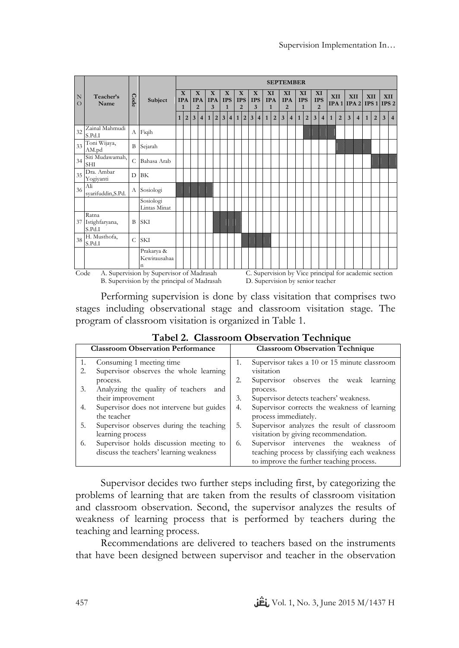|               |                                                                                                                                                                                              |      |                                 |                                 |                |                                              |                |              |                                |  |                                 |         |                                   |                      |     |                       |                | <b>SEPTEMBER</b>                   |                |                                  |                |                                    |                |              |                |   |                                    |   |                |                |                |
|---------------|----------------------------------------------------------------------------------------------------------------------------------------------------------------------------------------------|------|---------------------------------|---------------------------------|----------------|----------------------------------------------|----------------|--------------|--------------------------------|--|---------------------------------|---------|-----------------------------------|----------------------|-----|-----------------------|----------------|------------------------------------|----------------|----------------------------------|----------------|------------------------------------|----------------|--------------|----------------|---|------------------------------------|---|----------------|----------------|----------------|
| N<br>$\Omega$ | Teacher's<br>Name                                                                                                                                                                            | Code | Subject                         | $\mathbf{x}$<br><b>IPA</b><br>1 |                | $\mathbf{x}$<br><b>IPA</b><br>$\overline{2}$ |                |              | $\mathbf X$<br><b>IPA</b><br>3 |  | X<br><b>IPS</b><br>$\mathbf{1}$ |         | X<br><b>IPS</b><br>$\overline{2}$ | X<br><b>IPS</b><br>3 |     | XI<br><b>IPA</b><br>1 |                | XI<br><b>IPA</b><br>$\overline{2}$ |                | XI<br><b>IPS</b><br>$\mathbf{1}$ |                | XI<br><b>IPS</b><br>$\overline{2}$ |                |              | XII            |   | XII<br>$IPA1$ $IPA2$ $IPS1$ $IPS2$ |   | XII            | <b>XII</b>     |                |
|               |                                                                                                                                                                                              |      |                                 | 1                               | $\overline{2}$ | 3 <sup>1</sup>                               | $\overline{4}$ | $\mathbf{1}$ | 2 <sub>1</sub>                 |  |                                 | 3 4 1 2 |                                   |                      | 3 4 | $\mathbf{1}$          | $\overline{2}$ | 3 <sup>1</sup>                     | $\overline{4}$ | $\mathbf{1}$                     | $\overline{2}$ | 3                                  | $\overline{4}$ | $\mathbf{1}$ | $\overline{2}$ | 3 | $\overline{4}$                     | 1 | $\overline{2}$ | $\overline{3}$ | $\overline{4}$ |
| 32            | Zainal Mahmudi<br>S.Pd.I                                                                                                                                                                     | A    | Fiqih                           |                                 |                |                                              |                |              |                                |  |                                 |         |                                   |                      |     |                       |                |                                    |                |                                  |                |                                    |                |              |                |   |                                    |   |                |                |                |
| 33            | Toni Wijaya,<br>AM.pd                                                                                                                                                                        | B    | Sejarah                         |                                 |                |                                              |                |              |                                |  |                                 |         |                                   |                      |     |                       |                |                                    |                |                                  |                |                                    |                |              |                |   |                                    |   |                |                |                |
| 34            | Siti Mudawamah,<br><b>SHI</b>                                                                                                                                                                | C    | Bahasa Arab                     |                                 |                |                                              |                |              |                                |  |                                 |         |                                   |                      |     |                       |                |                                    |                |                                  |                |                                    |                |              |                |   |                                    |   |                |                |                |
| 35            | Dra. Ambar<br>Yogiyanti                                                                                                                                                                      | D    | <b>BK</b>                       |                                 |                |                                              |                |              |                                |  |                                 |         |                                   |                      |     |                       |                |                                    |                |                                  |                |                                    |                |              |                |   |                                    |   |                |                |                |
| 36            | Ali<br>svarifuddin, S.Pd.                                                                                                                                                                    |      | A Sosiologi                     |                                 |                |                                              |                |              |                                |  |                                 |         |                                   |                      |     |                       |                |                                    |                |                                  |                |                                    |                |              |                |   |                                    |   |                |                |                |
|               |                                                                                                                                                                                              |      | Sosiologi<br>Lintas Minat       |                                 |                |                                              |                |              |                                |  |                                 |         |                                   |                      |     |                       |                |                                    |                |                                  |                |                                    |                |              |                |   |                                    |   |                |                |                |
| 37            | Ratna<br>Istighfaryana,<br>S.Pd.I                                                                                                                                                            | B    | <b>SKI</b>                      |                                 |                |                                              |                |              |                                |  |                                 |         |                                   |                      |     |                       |                |                                    |                |                                  |                |                                    |                |              |                |   |                                    |   |                |                |                |
| 38            | H. Musthofa,<br>S.Pd.I                                                                                                                                                                       | C    | <b>SKI</b>                      |                                 |                |                                              |                |              |                                |  |                                 |         |                                   |                      |     |                       |                |                                    |                |                                  |                |                                    |                |              |                |   |                                    |   |                |                |                |
|               |                                                                                                                                                                                              |      | Prakarya &<br>Kewirausahaa<br>n |                                 |                |                                              |                |              |                                |  |                                 |         |                                   |                      |     |                       |                |                                    |                |                                  |                |                                    |                |              |                |   |                                    |   |                |                |                |
|               | C. Supervision by Vice principal for academic section<br>A. Supervision by Supervisor of Madrasah<br>Code<br>B. Supervision by the principal of Madrasah<br>D. Supervision by senior teacher |      |                                 |                                 |                |                                              |                |              |                                |  |                                 |         |                                   |                      |     |                       |                |                                    |                |                                  |                |                                    |                |              |                |   |                                    |   |                |                |                |
|               |                                                                                                                                                                                              |      |                                 |                                 |                |                                              |                |              |                                |  |                                 |         |                                   |                      |     |                       |                |                                    |                |                                  |                |                                    |                |              |                |   |                                    |   |                |                |                |

Performing supervision is done by class visitation that comprises two stages including observational stage and classroom visitation stage. The program of classroom visitation is organized in Table 1.

|    | <b>Classroom Observation Performance</b> |    | <b>Classroom Observation Technique</b>        |
|----|------------------------------------------|----|-----------------------------------------------|
| 1. | Consuming 1 meeting time                 | 1. | Supervisor takes a 10 or 15 minute classroom  |
| 2. | Supervisor observes the whole learning   |    | visitation                                    |
|    | process.                                 | 2. | Supervisor observes the weak learning         |
| 3. | Analyzing the quality of teachers<br>and |    | process.                                      |
|    | their improvement                        | 3. | Supervisor detects teachers' weakness.        |
| 4. | Supervisor does not intervene but guides | 4. | Supervisor corrects the weakness of learning  |
|    | the teacher                              |    | process immediately.                          |
| 5. | Supervisor observes during the teaching  | 5. | Supervisor analyzes the result of classroom   |
|    | learning process                         |    | visitation by giving recommendation.          |
| 6. | Supervisor holds discussion meeting to   | 6. | Supervisor intervenes the weakness of         |
|    | discuss the teachers' learning weakness  |    | teaching process by classifying each weakness |
|    |                                          |    | to improve the further teaching process.      |

**Tabel 2. Classroom Observation Technique**

Supervisor decides two further steps including first, by categorizing the problems of learning that are taken from the results of classroom visitation and classroom observation. Second, the supervisor analyzes the results of weakness of learning process that is performed by teachers during the teaching and learning process.

Recommendations are delivered to teachers based on the instruments that have been designed between supervisor and teacher in the observation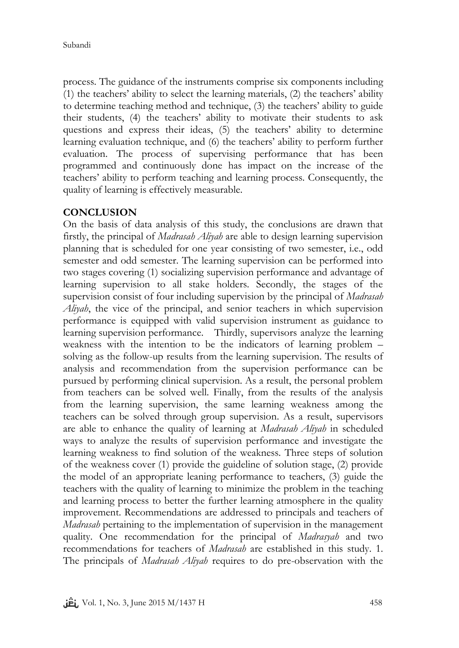process. The guidance of the instruments comprise six components including (1) the teachers' ability to select the learning materials, (2) the teachers' ability to determine teaching method and technique, (3) the teachers' ability to guide their students, (4) the teachers' ability to motivate their students to ask questions and express their ideas, (5) the teachers' ability to determine learning evaluation technique, and (6) the teachers' ability to perform further evaluation. The process of supervising performance that has been programmed and continuously done has impact on the increase of the teachers' ability to perform teaching and learning process. Consequently, the quality of learning is effectively measurable.

# **CONCLUSION**

On the basis of data analysis of this study, the conclusions are drawn that firstly, the principal of *Madrasah Aliyah* are able to design learning supervision planning that is scheduled for one year consisting of two semester, i.e., odd semester and odd semester. The learning supervision can be performed into two stages covering (1) socializing supervision performance and advantage of learning supervision to all stake holders. Secondly, the stages of the supervision consist of four including supervision by the principal of *Madrasah Aliyah*, the vice of the principal, and senior teachers in which supervision performance is equipped with valid supervision instrument as guidance to learning supervision performance. Thirdly, supervisors analyze the learning weakness with the intention to be the indicators of learning problem – solving as the follow-up results from the learning supervision. The results of analysis and recommendation from the supervision performance can be pursued by performing clinical supervision. As a result, the personal problem from teachers can be solved well. Finally, from the results of the analysis from the learning supervision, the same learning weakness among the teachers can be solved through group supervision. As a result, supervisors are able to enhance the quality of learning at *Madrasah Aliyah* in scheduled ways to analyze the results of supervision performance and investigate the learning weakness to find solution of the weakness. Three steps of solution of the weakness cover (1) provide the guideline of solution stage, (2) provide the model of an appropriate leaning performance to teachers, (3) guide the teachers with the quality of learning to minimize the problem in the teaching and learning process to better the further learning atmosphere in the quality improvement. Recommendations are addressed to principals and teachers of *Madrasah* pertaining to the implementation of supervision in the management quality. One recommendation for the principal of *Madrasyah* and two recommendations for teachers of *Madrasah* are established in this study. 1. The principals of *Madrasah Aliyah* requires to do pre-observation with the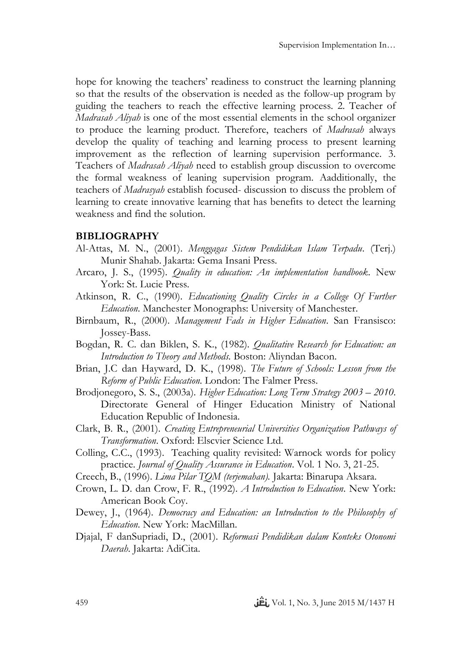hope for knowing the teachers' readiness to construct the learning planning so that the results of the observation is needed as the follow-up program by guiding the teachers to reach the effective learning process. 2. Teacher of *Madrasah Aliyah* is one of the most essential elements in the school organizer to produce the learning product. Therefore, teachers of *Madrasah* always develop the quality of teaching and learning process to present learning improvement as the reflection of learning supervision performance. 3. Teachers of *Madrasah Aliyah* need to establish group discussion to overcome the formal weakness of leaning supervision program. Aadditionally, the teachers of *Madrasyah* establish focused- discussion to discuss the problem of learning to create innovative learning that has benefits to detect the learning weakness and find the solution.

#### **BIBLIOGRAPHY**

- Al-Attas, M. N., (2001). *Menggagas Sistem Pendidikan Islam Terpadu*. (Terj.) Munir Shahab. Jakarta: Gema Insani Press.
- Arcaro, J. S., (1995). *Quality in education: An implementation handbook*. New York: St. Lucie Press.
- Atkinson, R. C., (1990). *Educationing Quality Circles in a College Of Further Education*. Manchester Monographs: University of Manchester.
- Birnbaum, R., (2000). *Management Fads in Higher Education*. San Fransisco: Jossey-Bass.
- Bogdan, R. C. dan Biklen, S. K., (1982). *Qualitative Research for Education: an Introduction to Theory and Methods.* Boston: Aliyndan Bacon.
- Brian, J.C dan Hayward, D. K., (1998). *The Future of Schools: Lesson from the Reform of Public Education.* London: The Falmer Press.
- Brodjonegoro, S. S., (2003a). *Higher Education: Long Term Strategy 2003 – 2010*. Directorate General of Hinger Education Ministry of National Education Republic of Indonesia.
- Clark, B. R., (2001). *Creating Entrepreneurial Universities Organization Pathways of Transformation*. Oxford: Elscvier Science Ltd.
- Colling, C.C., (1993). Teaching quality revisited: Warnock words for policy practice. *Journal of Quality Assurance in Education*. Vol. 1 No. 3, 21-25.
- Creech, B., (1996). *Lima Pilar TQM (terjemahan).* Jakarta: Binarupa Aksara.
- Crown, L. D. dan Crow, F. R., (1992). *A Introduction to Education*. New York: American Book Coy.
- Dewey, J., (1964). *Democracy and Education: an Introduction to the Philosophy of Education*. New York: MacMillan.
- Djajal, F danSupriadi, D., (2001). *Reformasi Pendidikan dalam Konteks Otonomi Daerah*. Jakarta: AdiCita.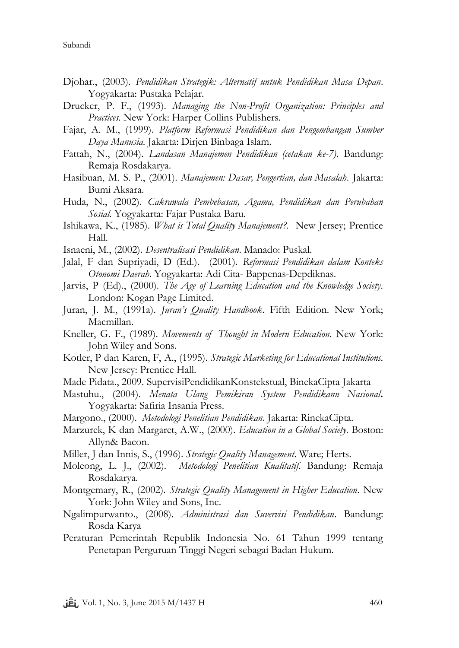- Djohar., (2003). *Pendidikan Strategik: Alternatif untuk Pendidikan Masa Depan*. Yogyakarta: Pustaka Pelajar.
- Drucker, P. F., (1993). *Managing the Non-Profit Organization: Principles and Practices*. New York: Harper Collins Publishers.
- Fajar, A. M., (1999). *Platform Reformasi Pendidikan dan Pengembangan Sumber Daya Manusia.* Jakarta: Dirjen Binbaga Islam.
- Fattah, N., (2004). *Landasan Manajemen Pendidikan (cetakan ke-7)*. Bandung: Remaja Rosdakarya.
- Hasibuan, M. S. P., (2001). *Manajemen: Dasar, Pengertian, dan Masalah*. Jakarta: Bumi Aksara.
- Huda, N., (2002). *Cakrawala Pembebasan, Agama, Pendidikan dan Perubahan Sosial.* Yogyakarta: Fajar Pustaka Baru.
- Ishikawa, K., (1985). *What is Total Quality Manajement?*. New Jersey; Prentice Hall.
- Isnaeni, M., (2002). *Desentralisasi Pendidikan*. Manado: Puskal.
- Jalal, F dan Supriyadi, D (Ed.). (2001). *Reformasi Pendidikan dalam Konteks Otonomi Daerah*. Yogyakarta: Adi Cita- Bappenas-Depdiknas.
- Jarvis, P (Ed)., (2000). *The Age of Learning Education and the Knowledge Society*. London: Kogan Page Limited.
- Juran, J. M., (1991a). *Juran's Quality Handbook*. Fifth Edition. New York; Macmillan.
- Kneller, G. F., (1989). *Movements of Thought in Modern Education*. New York: John Wiley and Sons.
- Kotler, P dan Karen, F, A., (1995). *Strategic Marketing for Educational Institutions.* New Jersey: Prentice Hall.
- Made Pidata., 2009. SupervisiPendidikanKonstekstual, BinekaCipta Jakarta
- Mastuhu., (2004). *Menata Ulang Pemikiran System Pendidikann Nasional***.** Yogyakarta: Safiria Insania Press.
- Margono., (2000). *Metodologi Penelitian Pendidikan*. Jakarta: RinekaCipta.
- Marzurek, K dan Margaret, A.W., (2000). *Education in a Global Society*. Boston: Allyn& Bacon.
- Miller, J dan Innis, S., (1996). *Strategic Quality Management*. Ware; Herts.
- Moleong, L. J., (2002). *Metodologi Penelitian Kualitatif*. Bandung: Remaja Rosdakarya.
- Montgemary, R., (2002). *Strategic Quality Management in Higher Education*. New York: John Wiley and Sons, Inc.
- Ngalimpurwanto., (2008). *Administrasi dan Suvervisi Pendidikan*. Bandung: Rosda Karya
- Peraturan Pemerintah Republik Indonesia No. 61 Tahun 1999 tentang Penetapan Perguruan Tinggi Negeri sebagai Badan Hukum.